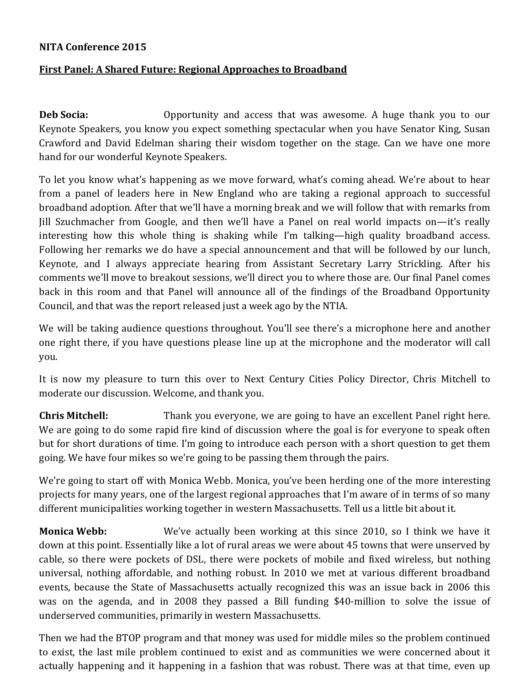## **NITA Conference 2015**

## **First Panel: A Shared Future: Regional Approaches to Broadband**

**Deb Socia:** Opportunity and access that was awesome. A huge thank you to our Keynote Speakers, you know you expect something spectacular when you have Senator King, Susan Crawford and David Edelman sharing their wisdom together on the stage. Can we have one more hand for our wonderful Keynote Speakers.

To let you know what's happening as we move forward, what's coming ahead. We're about to hear from a panel of leaders here in New England who are taking a regional approach to successful broadband adoption. After that we'll have a morning break and we will follow that with remarks from Jill Szuchmacher from Google, and then we'll have a Panel on real world impacts on—it's really interesting how this whole thing is shaking while I'm talking—high quality broadband access. Following her remarks we do have a special announcement and that will be followed by our lunch, Keynote, and I always appreciate hearing from Assistant Secretary Larry Strickling. After his comments we'll move to breakout sessions, we'll direct you to where those are. Our final Panel comes back in this room and that Panel will announce all of the findings of the Broadband Opportunity Council, and that was the report released just a week ago by the NTIA.

We will be taking audience questions throughout. You'll see there's a microphone here and another one right there, if you have questions please line up at the microphone and the moderator will call you.

It is now my pleasure to turn this over to Next Century Cities Policy Director, Chris Mitchell to moderate our discussion. Welcome, and thank you.

**Chris Mitchell:** Thank you everyone, we are going to have an excellent Panel right here. We are going to do some rapid fire kind of discussion where the goal is for everyone to speak often but for short durations of time. I'm going to introduce each person with a short question to get them going. We have four mikes so we're going to be passing them through the pairs.

We're going to start off with Monica Webb. Monica, you've been herding one of the more interesting projects for many years, one of the largest regional approaches that I'm aware of in terms of so many different municipalities working together in western Massachusetts. Tell us a little bit about it.

**Monica Webb:** We've actually been working at this since 2010, so I think we have it down at this point. Essentially like a lot of rural areas we were about 45 towns that were unserved by cable, so there were pockets of DSL, there were pockets of mobile and fixed wireless, but nothing universal, nothing affordable, and nothing robust. In 2010 we met at various different broadband events, because the State of Massachusetts actually recognized this was an issue back in 2006 this was on the agenda, and in 2008 they passed a Bill funding \$40-million to solve the issue of underserved communities, primarily in western Massachusetts.

Then we had the BTOP program and that money was used for middle miles so the problem continued to exist, the last mile problem continued to exist and as communities we were concerned about it actually happening and it happening in a fashion that was robust. There was at that time, even up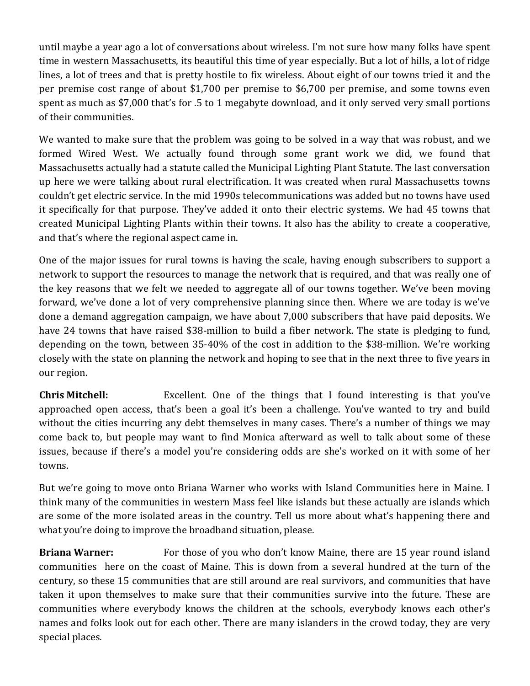until maybe a year ago a lot of conversations about wireless. I'm not sure how many folks have spent time in western Massachusetts, its beautiful this time of year especially. But a lot of hills, a lot of ridge lines, a lot of trees and that is pretty hostile to fix wireless. About eight of our towns tried it and the per premise cost range of about \$1,700 per premise to \$6,700 per premise, and some towns even spent as much as \$7,000 that's for .5 to 1 megabyte download, and it only served very small portions of their communities.

We wanted to make sure that the problem was going to be solved in a way that was robust, and we formed Wired West. We actually found through some grant work we did, we found that Massachusetts actually had a statute called the Municipal Lighting Plant Statute. The last conversation up here we were talking about rural electrification. It was created when rural Massachusetts towns couldn't get electric service. In the mid 1990s telecommunications was added but no towns have used it specifically for that purpose. They've added it onto their electric systems. We had 45 towns that created Municipal Lighting Plants within their towns. It also has the ability to create a cooperative, and that's where the regional aspect came in.

One of the major issues for rural towns is having the scale, having enough subscribers to support a network to support the resources to manage the network that is required, and that was really one of the key reasons that we felt we needed to aggregate all of our towns together. We've been moving forward, we've done a lot of very comprehensive planning since then. Where we are today is we've done a demand aggregation campaign, we have about 7,000 subscribers that have paid deposits. We have 24 towns that have raised \$38-million to build a fiber network. The state is pledging to fund, depending on the town, between 35-40% of the cost in addition to the \$38-million. We're working closely with the state on planning the network and hoping to see that in the next three to five years in our region.

**Chris Mitchell:** Excellent. One of the things that I found interesting is that you've approached open access, that's been a goal it's been a challenge. You've wanted to try and build without the cities incurring any debt themselves in many cases. There's a number of things we may come back to, but people may want to find Monica afterward as well to talk about some of these issues, because if there's a model you're considering odds are she's worked on it with some of her towns.

But we're going to move onto Briana Warner who works with Island Communities here in Maine. I think many of the communities in western Mass feel like islands but these actually are islands which are some of the more isolated areas in the country. Tell us more about what's happening there and what you're doing to improve the broadband situation, please.

**Briana Warner:** For those of you who don't know Maine, there are 15 year round island communities here on the coast of Maine. This is down from a several hundred at the turn of the century, so these 15 communities that are still around are real survivors, and communities that have taken it upon themselves to make sure that their communities survive into the future. These are communities where everybody knows the children at the schools, everybody knows each other's names and folks look out for each other. There are many islanders in the crowd today, they are very special places.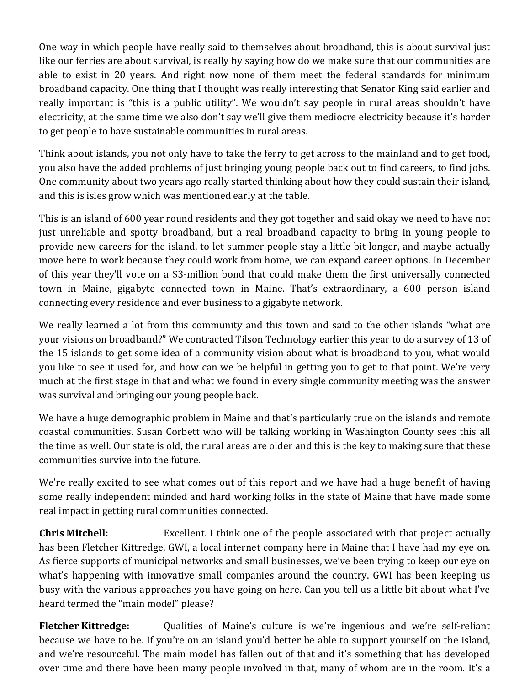One way in which people have really said to themselves about broadband, this is about survival just like our ferries are about survival, is really by saying how do we make sure that our communities are able to exist in 20 years. And right now none of them meet the federal standards for minimum broadband capacity. One thing that I thought was really interesting that Senator King said earlier and really important is "this is a public utility". We wouldn't say people in rural areas shouldn't have electricity, at the same time we also don't say we'll give them mediocre electricity because it's harder to get people to have sustainable communities in rural areas.

Think about islands, you not only have to take the ferry to get across to the mainland and to get food, you also have the added problems of just bringing young people back out to find careers, to find jobs. One community about two years ago really started thinking about how they could sustain their island, and this is isles grow which was mentioned early at the table.

This is an island of 600 year round residents and they got together and said okay we need to have not just unreliable and spotty broadband, but a real broadband capacity to bring in young people to provide new careers for the island, to let summer people stay a little bit longer, and maybe actually move here to work because they could work from home, we can expand career options. In December of this year they'll vote on a \$3-million bond that could make them the first universally connected town in Maine, gigabyte connected town in Maine. That's extraordinary, a 600 person island connecting every residence and ever business to a gigabyte network.

We really learned a lot from this community and this town and said to the other islands "what are your visions on broadband?" We contracted Tilson Technology earlier this year to do a survey of 13 of the 15 islands to get some idea of a community vision about what is broadband to you, what would you like to see it used for, and how can we be helpful in getting you to get to that point. We're very much at the first stage in that and what we found in every single community meeting was the answer was survival and bringing our young people back.

We have a huge demographic problem in Maine and that's particularly true on the islands and remote coastal communities. Susan Corbett who will be talking working in Washington County sees this all the time as well. Our state is old, the rural areas are older and this is the key to making sure that these communities survive into the future.

We're really excited to see what comes out of this report and we have had a huge benefit of having some really independent minded and hard working folks in the state of Maine that have made some real impact in getting rural communities connected.

**Chris Mitchell:** Excellent. I think one of the people associated with that project actually has been Fletcher Kittredge, GWI, a local internet company here in Maine that I have had my eye on. As fierce supports of municipal networks and small businesses, we've been trying to keep our eye on what's happening with innovative small companies around the country. GWI has been keeping us busy with the various approaches you have going on here. Can you tell us a little bit about what I've heard termed the "main model" please?

**Fletcher Kittredge:** Qualities of Maine's culture is we're ingenious and we're self-reliant because we have to be. If you're on an island you'd better be able to support yourself on the island, and we're resourceful. The main model has fallen out of that and it's something that has developed over time and there have been many people involved in that, many of whom are in the room. It's a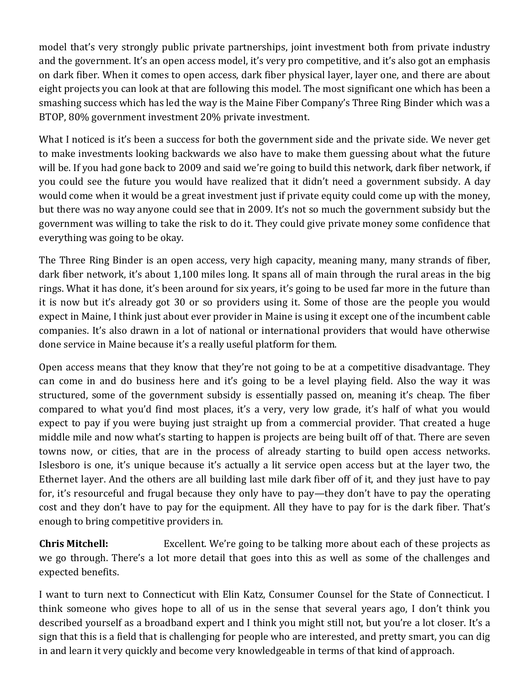model that's very strongly public private partnerships, joint investment both from private industry and the government. It's an open access model, it's very pro competitive, and it's also got an emphasis on dark fiber. When it comes to open access, dark fiber physical layer, layer one, and there are about eight projects you can look at that are following this model. The most significant one which has been a smashing success which has led the way is the Maine Fiber Company's Three Ring Binder which was a BTOP, 80% government investment 20% private investment.

What I noticed is it's been a success for both the government side and the private side. We never get to make investments looking backwards we also have to make them guessing about what the future will be. If you had gone back to 2009 and said we're going to build this network, dark fiber network, if you could see the future you would have realized that it didn't need a government subsidy. A day would come when it would be a great investment just if private equity could come up with the money, but there was no way anyone could see that in 2009. It's not so much the government subsidy but the government was willing to take the risk to do it. They could give private money some confidence that everything was going to be okay.

The Three Ring Binder is an open access, very high capacity, meaning many, many strands of fiber, dark fiber network, it's about 1,100 miles long. It spans all of main through the rural areas in the big rings. What it has done, it's been around for six years, it's going to be used far more in the future than it is now but it's already got 30 or so providers using it. Some of those are the people you would expect in Maine, I think just about ever provider in Maine is using it except one of the incumbent cable companies. It's also drawn in a lot of national or international providers that would have otherwise done service in Maine because it's a really useful platform for them.

Open access means that they know that they're not going to be at a competitive disadvantage. They can come in and do business here and it's going to be a level playing field. Also the way it was structured, some of the government subsidy is essentially passed on, meaning it's cheap. The fiber compared to what you'd find most places, it's a very, very low grade, it's half of what you would expect to pay if you were buying just straight up from a commercial provider. That created a huge middle mile and now what's starting to happen is projects are being built off of that. There are seven towns now, or cities, that are in the process of already starting to build open access networks. Islesboro is one, it's unique because it's actually a lit service open access but at the layer two, the Ethernet layer. And the others are all building last mile dark fiber off of it, and they just have to pay for, it's resourceful and frugal because they only have to pay—they don't have to pay the operating cost and they don't have to pay for the equipment. All they have to pay for is the dark fiber. That's enough to bring competitive providers in.

**Chris Mitchell:** Excellent. We're going to be talking more about each of these projects as we go through. There's a lot more detail that goes into this as well as some of the challenges and expected benefits.

I want to turn next to Connecticut with Elin Katz, Consumer Counsel for the State of Connecticut. I think someone who gives hope to all of us in the sense that several years ago, I don't think you described yourself as a broadband expert and I think you might still not, but you're a lot closer. It's a sign that this is a field that is challenging for people who are interested, and pretty smart, you can dig in and learn it very quickly and become very knowledgeable in terms of that kind of approach.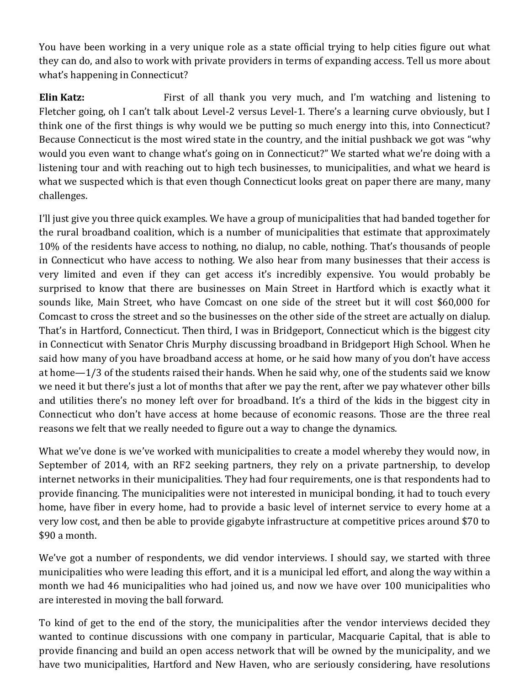You have been working in a very unique role as a state official trying to help cities figure out what they can do, and also to work with private providers in terms of expanding access. Tell us more about what's happening in Connecticut?

**Elin Katz:** First of all thank you very much, and I'm watching and listening to Fletcher going, oh I can't talk about Level-2 versus Level-1. There's a learning curve obviously, but I think one of the first things is why would we be putting so much energy into this, into Connecticut? Because Connecticut is the most wired state in the country, and the initial pushback we got was "why would you even want to change what's going on in Connecticut?" We started what we're doing with a listening tour and with reaching out to high tech businesses, to municipalities, and what we heard is what we suspected which is that even though Connecticut looks great on paper there are many, many challenges.

I'll just give you three quick examples. We have a group of municipalities that had banded together for the rural broadband coalition, which is a number of municipalities that estimate that approximately 10% of the residents have access to nothing, no dialup, no cable, nothing. That's thousands of people in Connecticut who have access to nothing. We also hear from many businesses that their access is very limited and even if they can get access it's incredibly expensive. You would probably be surprised to know that there are businesses on Main Street in Hartford which is exactly what it sounds like, Main Street, who have Comcast on one side of the street but it will cost \$60,000 for Comcast to cross the street and so the businesses on the other side of the street are actually on dialup. That's in Hartford, Connecticut. Then third, I was in Bridgeport, Connecticut which is the biggest city in Connecticut with Senator Chris Murphy discussing broadband in Bridgeport High School. When he said how many of you have broadband access at home, or he said how many of you don't have access at home—1/3 of the students raised their hands. When he said why, one of the students said we know we need it but there's just a lot of months that after we pay the rent, after we pay whatever other bills and utilities there's no money left over for broadband. It's a third of the kids in the biggest city in Connecticut who don't have access at home because of economic reasons. Those are the three real reasons we felt that we really needed to figure out a way to change the dynamics.

What we've done is we've worked with municipalities to create a model whereby they would now, in September of 2014, with an RF2 seeking partners, they rely on a private partnership, to develop internet networks in their municipalities. They had four requirements, one is that respondents had to provide financing. The municipalities were not interested in municipal bonding, it had to touch every home, have fiber in every home, had to provide a basic level of internet service to every home at a very low cost, and then be able to provide gigabyte infrastructure at competitive prices around \$70 to \$90 a month.

We've got a number of respondents, we did vendor interviews. I should say, we started with three municipalities who were leading this effort, and it is a municipal led effort, and along the way within a month we had 46 municipalities who had joined us, and now we have over 100 municipalities who are interested in moving the ball forward.

To kind of get to the end of the story, the municipalities after the vendor interviews decided they wanted to continue discussions with one company in particular, Macquarie Capital, that is able to provide financing and build an open access network that will be owned by the municipality, and we have two municipalities, Hartford and New Haven, who are seriously considering, have resolutions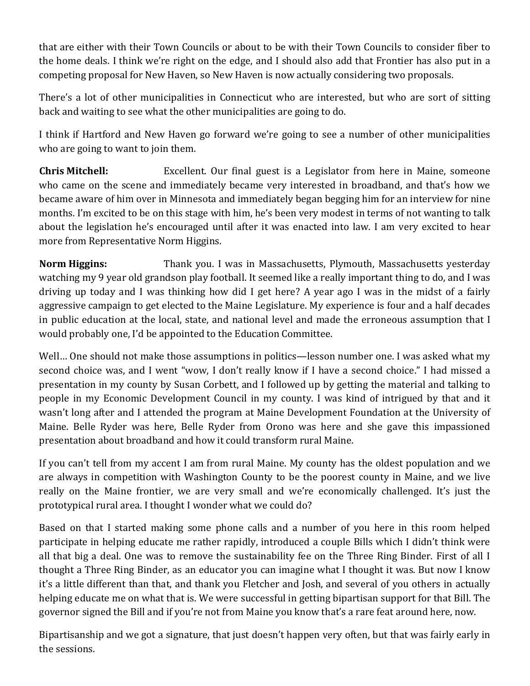that are either with their Town Councils or about to be with their Town Councils to consider fiber to the home deals. I think we're right on the edge, and I should also add that Frontier has also put in a competing proposal for New Haven, so New Haven is now actually considering two proposals.

There's a lot of other municipalities in Connecticut who are interested, but who are sort of sitting back and waiting to see what the other municipalities are going to do.

I think if Hartford and New Haven go forward we're going to see a number of other municipalities who are going to want to join them.

**Chris Mitchell:** Excellent. Our final guest is a Legislator from here in Maine, someone who came on the scene and immediately became very interested in broadband, and that's how we became aware of him over in Minnesota and immediately began begging him for an interview for nine months. I'm excited to be on this stage with him, he's been very modest in terms of not wanting to talk about the legislation he's encouraged until after it was enacted into law. I am very excited to hear more from Representative Norm Higgins.

**Norm Higgins:** Thank you. I was in Massachusetts, Plymouth, Massachusetts yesterday watching my 9 year old grandson play football. It seemed like a really important thing to do, and I was driving up today and I was thinking how did I get here? A year ago I was in the midst of a fairly aggressive campaign to get elected to the Maine Legislature. My experience is four and a half decades in public education at the local, state, and national level and made the erroneous assumption that I would probably one, I'd be appointed to the Education Committee.

Well… One should not make those assumptions in politics—lesson number one. I was asked what my second choice was, and I went "wow, I don't really know if I have a second choice." I had missed a presentation in my county by Susan Corbett, and I followed up by getting the material and talking to people in my Economic Development Council in my county. I was kind of intrigued by that and it wasn't long after and I attended the program at Maine Development Foundation at the University of Maine. Belle Ryder was here, Belle Ryder from Orono was here and she gave this impassioned presentation about broadband and how it could transform rural Maine.

If you can't tell from my accent I am from rural Maine. My county has the oldest population and we are always in competition with Washington County to be the poorest county in Maine, and we live really on the Maine frontier, we are very small and we're economically challenged. It's just the prototypical rural area. I thought I wonder what we could do?

Based on that I started making some phone calls and a number of you here in this room helped participate in helping educate me rather rapidly, introduced a couple Bills which I didn't think were all that big a deal. One was to remove the sustainability fee on the Three Ring Binder. First of all I thought a Three Ring Binder, as an educator you can imagine what I thought it was. But now I know it's a little different than that, and thank you Fletcher and Josh, and several of you others in actually helping educate me on what that is. We were successful in getting bipartisan support for that Bill. The governor signed the Bill and if you're not from Maine you know that's a rare feat around here, now.

Bipartisanship and we got a signature, that just doesn't happen very often, but that was fairly early in the sessions.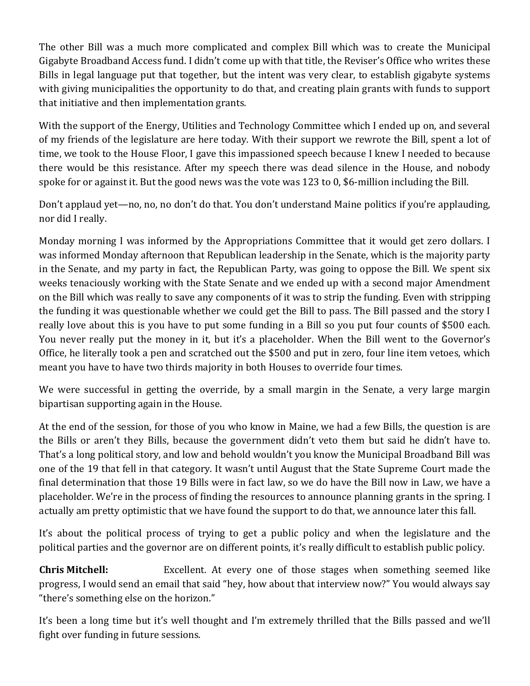The other Bill was a much more complicated and complex Bill which was to create the Municipal Gigabyte Broadband Access fund. I didn't come up with that title, the Reviser's Office who writes these Bills in legal language put that together, but the intent was very clear, to establish gigabyte systems with giving municipalities the opportunity to do that, and creating plain grants with funds to support that initiative and then implementation grants.

With the support of the Energy, Utilities and Technology Committee which I ended up on, and several of my friends of the legislature are here today. With their support we rewrote the Bill, spent a lot of time, we took to the House Floor, I gave this impassioned speech because I knew I needed to because there would be this resistance. After my speech there was dead silence in the House, and nobody spoke for or against it. But the good news was the vote was 123 to 0, \$6-million including the Bill.

Don't applaud yet—no, no, no don't do that. You don't understand Maine politics if you're applauding, nor did I really.

Monday morning I was informed by the Appropriations Committee that it would get zero dollars. I was informed Monday afternoon that Republican leadership in the Senate, which is the majority party in the Senate, and my party in fact, the Republican Party, was going to oppose the Bill. We spent six weeks tenaciously working with the State Senate and we ended up with a second major Amendment on the Bill which was really to save any components of it was to strip the funding. Even with stripping the funding it was questionable whether we could get the Bill to pass. The Bill passed and the story I really love about this is you have to put some funding in a Bill so you put four counts of \$500 each. You never really put the money in it, but it's a placeholder. When the Bill went to the Governor's Office, he literally took a pen and scratched out the \$500 and put in zero, four line item vetoes, which meant you have to have two thirds majority in both Houses to override four times.

We were successful in getting the override, by a small margin in the Senate, a very large margin bipartisan supporting again in the House.

At the end of the session, for those of you who know in Maine, we had a few Bills, the question is are the Bills or aren't they Bills, because the government didn't veto them but said he didn't have to. That's a long political story, and low and behold wouldn't you know the Municipal Broadband Bill was one of the 19 that fell in that category. It wasn't until August that the State Supreme Court made the final determination that those 19 Bills were in fact law, so we do have the Bill now in Law, we have a placeholder. We're in the process of finding the resources to announce planning grants in the spring. I actually am pretty optimistic that we have found the support to do that, we announce later this fall.

It's about the political process of trying to get a public policy and when the legislature and the political parties and the governor are on different points, it's really difficult to establish public policy.

**Chris Mitchell:** Excellent. At every one of those stages when something seemed like progress, I would send an email that said "hey, how about that interview now?" You would always say "there's something else on the horizon."

It's been a long time but it's well thought and I'm extremely thrilled that the Bills passed and we'll fight over funding in future sessions.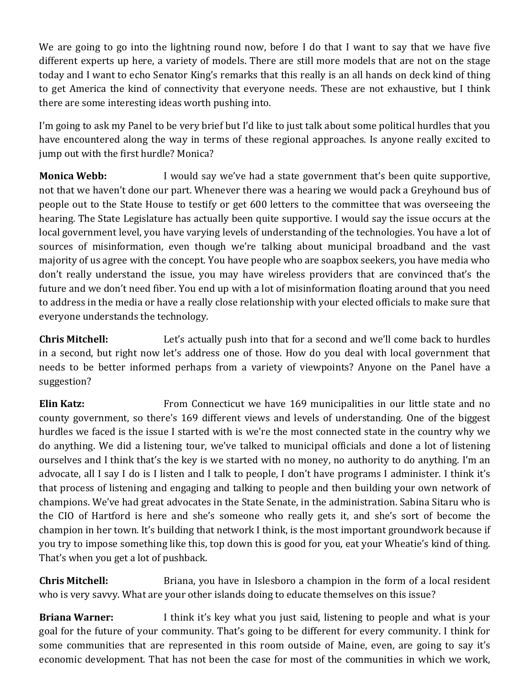We are going to go into the lightning round now, before I do that I want to say that we have five different experts up here, a variety of models. There are still more models that are not on the stage today and I want to echo Senator King's remarks that this really is an all hands on deck kind of thing to get America the kind of connectivity that everyone needs. These are not exhaustive, but I think there are some interesting ideas worth pushing into.

I'm going to ask my Panel to be very brief but I'd like to just talk about some political hurdles that you have encountered along the way in terms of these regional approaches. Is anyone really excited to jump out with the first hurdle? Monica?

**Monica Webb:** I would say we've had a state government that's been quite supportive, not that we haven't done our part. Whenever there was a hearing we would pack a Greyhound bus of people out to the State House to testify or get 600 letters to the committee that was overseeing the hearing. The State Legislature has actually been quite supportive. I would say the issue occurs at the local government level, you have varying levels of understanding of the technologies. You have a lot of sources of misinformation, even though we're talking about municipal broadband and the vast majority of us agree with the concept. You have people who are soapbox seekers, you have media who don't really understand the issue, you may have wireless providers that are convinced that's the future and we don't need fiber. You end up with a lot of misinformation floating around that you need to address in the media or have a really close relationship with your elected officials to make sure that everyone understands the technology.

**Chris Mitchell:** Let's actually push into that for a second and we'll come back to hurdles in a second, but right now let's address one of those. How do you deal with local government that needs to be better informed perhaps from a variety of viewpoints? Anyone on the Panel have a suggestion?

**Elin Katz:** From Connecticut we have 169 municipalities in our little state and no county government, so there's 169 different views and levels of understanding. One of the biggest hurdles we faced is the issue I started with is we're the most connected state in the country why we do anything. We did a listening tour, we've talked to municipal officials and done a lot of listening ourselves and I think that's the key is we started with no money, no authority to do anything. I'm an advocate, all I say I do is I listen and I talk to people, I don't have programs I administer. I think it's that process of listening and engaging and talking to people and then building your own network of champions. We've had great advocates in the State Senate, in the administration. Sabina Sitaru who is the CIO of Hartford is here and she's someone who really gets it, and she's sort of become the champion in her town. It's building that network I think, is the most important groundwork because if you try to impose something like this, top down this is good for you, eat your Wheatie's kind of thing. That's when you get a lot of pushback.

**Chris Mitchell:** Briana, you have in Islesboro a champion in the form of a local resident who is very savvy. What are your other islands doing to educate themselves on this issue?

**Briana Warner:** I think it's key what you just said, listening to people and what is your goal for the future of your community. That's going to be different for every community. I think for some communities that are represented in this room outside of Maine, even, are going to say it's economic development. That has not been the case for most of the communities in which we work,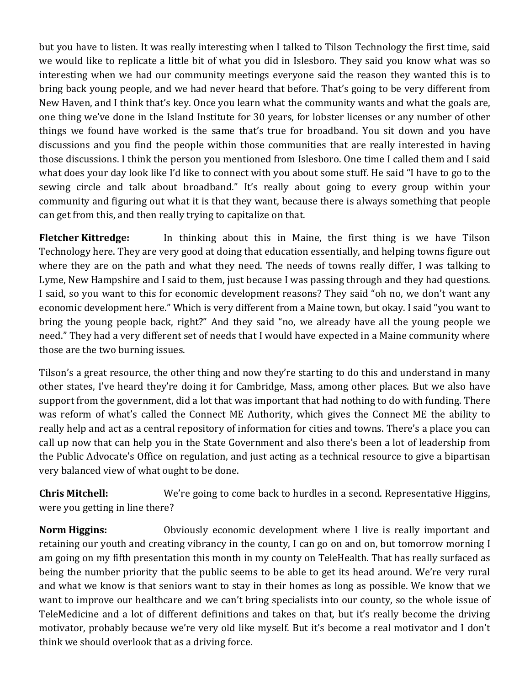but you have to listen. It was really interesting when I talked to Tilson Technology the first time, said we would like to replicate a little bit of what you did in Islesboro. They said you know what was so interesting when we had our community meetings everyone said the reason they wanted this is to bring back young people, and we had never heard that before. That's going to be very different from New Haven, and I think that's key. Once you learn what the community wants and what the goals are, one thing we've done in the Island Institute for 30 years, for lobster licenses or any number of other things we found have worked is the same that's true for broadband. You sit down and you have discussions and you find the people within those communities that are really interested in having those discussions. I think the person you mentioned from Islesboro. One time I called them and I said what does your day look like I'd like to connect with you about some stuff. He said "I have to go to the sewing circle and talk about broadband." It's really about going to every group within your community and figuring out what it is that they want, because there is always something that people can get from this, and then really trying to capitalize on that.

**Fletcher Kittredge:** In thinking about this in Maine, the first thing is we have Tilson Technology here. They are very good at doing that education essentially, and helping towns figure out where they are on the path and what they need. The needs of towns really differ, I was talking to Lyme, New Hampshire and I said to them, just because I was passing through and they had questions. I said, so you want to this for economic development reasons? They said "oh no, we don't want any economic development here." Which is very different from a Maine town, but okay. I said "you want to bring the young people back, right?" And they said "no, we already have all the young people we need." They had a very different set of needs that I would have expected in a Maine community where those are the two burning issues.

Tilson's a great resource, the other thing and now they're starting to do this and understand in many other states, I've heard they're doing it for Cambridge, Mass, among other places. But we also have support from the government, did a lot that was important that had nothing to do with funding. There was reform of what's called the Connect ME Authority, which gives the Connect ME the ability to really help and act as a central repository of information for cities and towns. There's a place you can call up now that can help you in the State Government and also there's been a lot of leadership from the Public Advocate's Office on regulation, and just acting as a technical resource to give a bipartisan very balanced view of what ought to be done.

**Chris Mitchell:** We're going to come back to hurdles in a second. Representative Higgins, were you getting in line there?

**Norm Higgins:** Obviously economic development where I live is really important and retaining our youth and creating vibrancy in the county, I can go on and on, but tomorrow morning I am going on my fifth presentation this month in my county on TeleHealth. That has really surfaced as being the number priority that the public seems to be able to get its head around. We're very rural and what we know is that seniors want to stay in their homes as long as possible. We know that we want to improve our healthcare and we can't bring specialists into our county, so the whole issue of TeleMedicine and a lot of different definitions and takes on that, but it's really become the driving motivator, probably because we're very old like myself. But it's become a real motivator and I don't think we should overlook that as a driving force.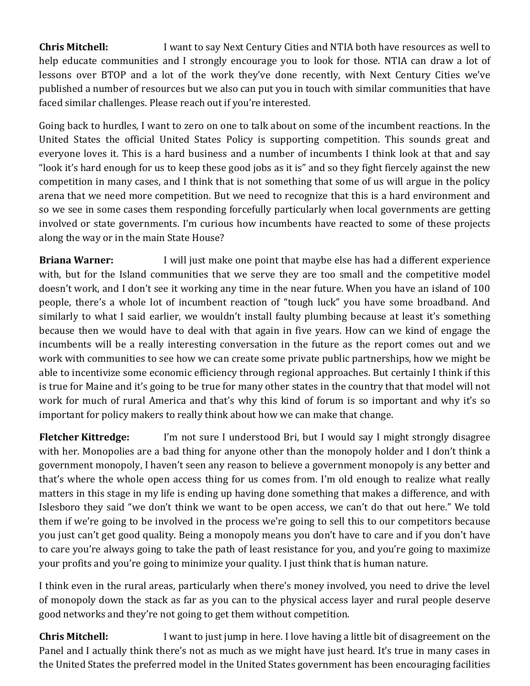**Chris Mitchell:** I want to say Next Century Cities and NTIA both have resources as well to help educate communities and I strongly encourage you to look for those. NTIA can draw a lot of lessons over BTOP and a lot of the work they've done recently, with Next Century Cities we've published a number of resources but we also can put you in touch with similar communities that have faced similar challenges. Please reach out if you're interested.

Going back to hurdles, I want to zero on one to talk about on some of the incumbent reactions. In the United States the official United States Policy is supporting competition. This sounds great and everyone loves it. This is a hard business and a number of incumbents I think look at that and say "look it's hard enough for us to keep these good jobs as it is" and so they fight fiercely against the new competition in many cases, and I think that is not something that some of us will argue in the policy arena that we need more competition. But we need to recognize that this is a hard environment and so we see in some cases them responding forcefully particularly when local governments are getting involved or state governments. I'm curious how incumbents have reacted to some of these projects along the way or in the main State House?

**Briana Warner:** I will just make one point that maybe else has had a different experience with, but for the Island communities that we serve they are too small and the competitive model doesn't work, and I don't see it working any time in the near future. When you have an island of 100 people, there's a whole lot of incumbent reaction of "tough luck" you have some broadband. And similarly to what I said earlier, we wouldn't install faulty plumbing because at least it's something because then we would have to deal with that again in five years. How can we kind of engage the incumbents will be a really interesting conversation in the future as the report comes out and we work with communities to see how we can create some private public partnerships, how we might be able to incentivize some economic efficiency through regional approaches. But certainly I think if this is true for Maine and it's going to be true for many other states in the country that that model will not work for much of rural America and that's why this kind of forum is so important and why it's so important for policy makers to really think about how we can make that change.

**Fletcher Kittredge:** I'm not sure I understood Bri, but I would say I might strongly disagree with her. Monopolies are a bad thing for anyone other than the monopoly holder and I don't think a government monopoly, I haven't seen any reason to believe a government monopoly is any better and that's where the whole open access thing for us comes from. I'm old enough to realize what really matters in this stage in my life is ending up having done something that makes a difference, and with Islesboro they said "we don't think we want to be open access, we can't do that out here." We told them if we're going to be involved in the process we're going to sell this to our competitors because you just can't get good quality. Being a monopoly means you don't have to care and if you don't have to care you're always going to take the path of least resistance for you, and you're going to maximize your profits and you're going to minimize your quality. I just think that is human nature.

I think even in the rural areas, particularly when there's money involved, you need to drive the level of monopoly down the stack as far as you can to the physical access layer and rural people deserve good networks and they're not going to get them without competition.

**Chris Mitchell:** I want to just jump in here. I love having a little bit of disagreement on the Panel and I actually think there's not as much as we might have just heard. It's true in many cases in the United States the preferred model in the United States government has been encouraging facilities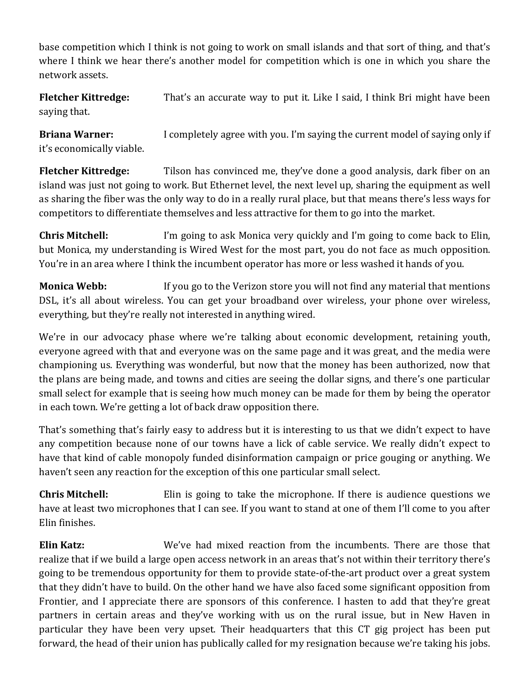base competition which I think is not going to work on small islands and that sort of thing, and that's where I think we hear there's another model for competition which is one in which you share the network assets.

**Fletcher Kittredge:** That's an accurate way to put it. Like I said, I think Bri might have been saying that.

**Briana Warner:** I completely agree with you. I'm saying the current model of saying only if it's economically viable.

**Fletcher Kittredge:** Tilson has convinced me, they've done a good analysis, dark fiber on an island was just not going to work. But Ethernet level, the next level up, sharing the equipment as well as sharing the fiber was the only way to do in a really rural place, but that means there's less ways for competitors to differentiate themselves and less attractive for them to go into the market.

**Chris Mitchell:** I'm going to ask Monica very quickly and I'm going to come back to Elin, but Monica, my understanding is Wired West for the most part, you do not face as much opposition. You're in an area where I think the incumbent operator has more or less washed it hands of you.

**Monica Webb:** If you go to the Verizon store you will not find any material that mentions DSL, it's all about wireless. You can get your broadband over wireless, your phone over wireless, everything, but they're really not interested in anything wired.

We're in our advocacy phase where we're talking about economic development, retaining youth, everyone agreed with that and everyone was on the same page and it was great, and the media were championing us. Everything was wonderful, but now that the money has been authorized, now that the plans are being made, and towns and cities are seeing the dollar signs, and there's one particular small select for example that is seeing how much money can be made for them by being the operator in each town. We're getting a lot of back draw opposition there.

That's something that's fairly easy to address but it is interesting to us that we didn't expect to have any competition because none of our towns have a lick of cable service. We really didn't expect to have that kind of cable monopoly funded disinformation campaign or price gouging or anything. We haven't seen any reaction for the exception of this one particular small select.

**Chris Mitchell:** Elin is going to take the microphone. If there is audience questions we have at least two microphones that I can see. If you want to stand at one of them I'll come to you after Elin finishes.

**Elin Katz:** We've had mixed reaction from the incumbents. There are those that realize that if we build a large open access network in an areas that's not within their territory there's going to be tremendous opportunity for them to provide state-of-the-art product over a great system that they didn't have to build. On the other hand we have also faced some significant opposition from Frontier, and I appreciate there are sponsors of this conference. I hasten to add that they're great partners in certain areas and they've working with us on the rural issue, but in New Haven in particular they have been very upset. Their headquarters that this CT gig project has been put forward, the head of their union has publically called for my resignation because we're taking his jobs.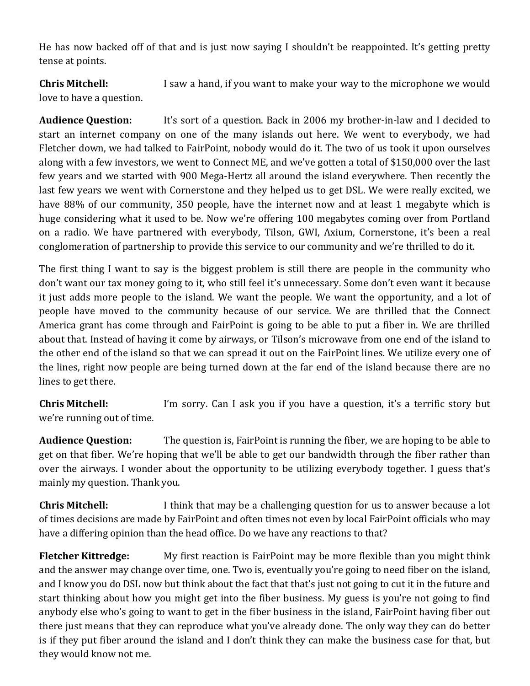He has now backed off of that and is just now saying I shouldn't be reappointed. It's getting pretty tense at points.

**Chris Mitchell:** I saw a hand, if you want to make your way to the microphone we would love to have a question.

**Audience Question:** It's sort of a question. Back in 2006 my brother-in-law and I decided to start an internet company on one of the many islands out here. We went to everybody, we had Fletcher down, we had talked to FairPoint, nobody would do it. The two of us took it upon ourselves along with a few investors, we went to Connect ME, and we've gotten a total of \$150,000 over the last few years and we started with 900 Mega-Hertz all around the island everywhere. Then recently the last few years we went with Cornerstone and they helped us to get DSL. We were really excited, we have 88% of our community, 350 people, have the internet now and at least 1 megabyte which is huge considering what it used to be. Now we're offering 100 megabytes coming over from Portland on a radio. We have partnered with everybody, Tilson, GWI, Axium, Cornerstone, it's been a real conglomeration of partnership to provide this service to our community and we're thrilled to do it.

The first thing I want to say is the biggest problem is still there are people in the community who don't want our tax money going to it, who still feel it's unnecessary. Some don't even want it because it just adds more people to the island. We want the people. We want the opportunity, and a lot of people have moved to the community because of our service. We are thrilled that the Connect America grant has come through and FairPoint is going to be able to put a fiber in. We are thrilled about that. Instead of having it come by airways, or Tilson's microwave from one end of the island to the other end of the island so that we can spread it out on the FairPoint lines. We utilize every one of the lines, right now people are being turned down at the far end of the island because there are no lines to get there.

**Chris Mitchell:** I'm sorry. Can I ask you if you have a question, it's a terrific story but we're running out of time.

**Audience Question:** The question is, FairPoint is running the fiber, we are hoping to be able to get on that fiber. We're hoping that we'll be able to get our bandwidth through the fiber rather than over the airways. I wonder about the opportunity to be utilizing everybody together. I guess that's mainly my question. Thank you.

**Chris Mitchell:** I think that may be a challenging question for us to answer because a lot of times decisions are made by FairPoint and often times not even by local FairPoint officials who may have a differing opinion than the head office. Do we have any reactions to that?

**Fletcher Kittredge:** My first reaction is FairPoint may be more flexible than you might think and the answer may change over time, one. Two is, eventually you're going to need fiber on the island, and I know you do DSL now but think about the fact that that's just not going to cut it in the future and start thinking about how you might get into the fiber business. My guess is you're not going to find anybody else who's going to want to get in the fiber business in the island, FairPoint having fiber out there just means that they can reproduce what you've already done. The only way they can do better is if they put fiber around the island and I don't think they can make the business case for that, but they would know not me.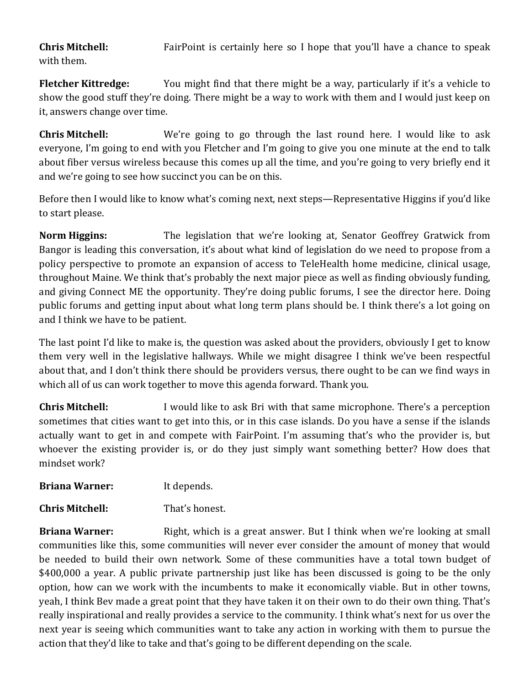**Chris Mitchell:** FairPoint is certainly here so I hope that you'll have a chance to speak with them.

**Fletcher Kittredge:** You might find that there might be a way, particularly if it's a vehicle to show the good stuff they're doing. There might be a way to work with them and I would just keep on it, answers change over time.

**Chris Mitchell:** We're going to go through the last round here. I would like to ask everyone, I'm going to end with you Fletcher and I'm going to give you one minute at the end to talk about fiber versus wireless because this comes up all the time, and you're going to very briefly end it and we're going to see how succinct you can be on this.

Before then I would like to know what's coming next, next steps—Representative Higgins if you'd like to start please.

**Norm Higgins:** The legislation that we're looking at, Senator Geoffrey Gratwick from Bangor is leading this conversation, it's about what kind of legislation do we need to propose from a policy perspective to promote an expansion of access to TeleHealth home medicine, clinical usage, throughout Maine. We think that's probably the next major piece as well as finding obviously funding, and giving Connect ME the opportunity. They're doing public forums, I see the director here. Doing public forums and getting input about what long term plans should be. I think there's a lot going on and I think we have to be patient.

The last point I'd like to make is, the question was asked about the providers, obviously I get to know them very well in the legislative hallways. While we might disagree I think we've been respectful about that, and I don't think there should be providers versus, there ought to be can we find ways in which all of us can work together to move this agenda forward. Thank you.

**Chris Mitchell:** I would like to ask Bri with that same microphone. There's a perception sometimes that cities want to get into this, or in this case islands. Do you have a sense if the islands actually want to get in and compete with FairPoint. I'm assuming that's who the provider is, but whoever the existing provider is, or do they just simply want something better? How does that mindset work?

| <b>Briana Warner:</b> | It depends. |
|-----------------------|-------------|
|-----------------------|-------------|

**Chris Mitchell:** That's honest.

**Briana Warner:** Right, which is a great answer. But I think when we're looking at small communities like this, some communities will never ever consider the amount of money that would be needed to build their own network. Some of these communities have a total town budget of \$400,000 a year. A public private partnership just like has been discussed is going to be the only option, how can we work with the incumbents to make it economically viable. But in other towns, yeah, I think Bev made a great point that they have taken it on their own to do their own thing. That's really inspirational and really provides a service to the community. I think what's next for us over the next year is seeing which communities want to take any action in working with them to pursue the action that they'd like to take and that's going to be different depending on the scale.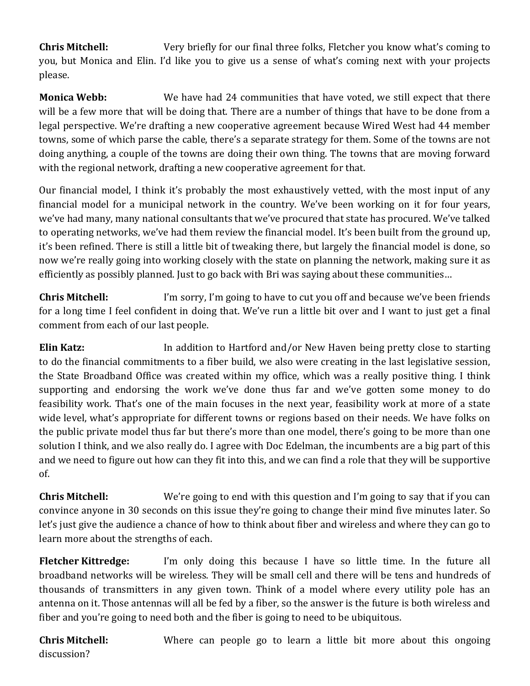**Chris Mitchell:** Very briefly for our final three folks, Fletcher you know what's coming to you, but Monica and Elin. I'd like you to give us a sense of what's coming next with your projects please.

**Monica Webb:** We have had 24 communities that have voted, we still expect that there will be a few more that will be doing that. There are a number of things that have to be done from a legal perspective. We're drafting a new cooperative agreement because Wired West had 44 member towns, some of which parse the cable, there's a separate strategy for them. Some of the towns are not doing anything, a couple of the towns are doing their own thing. The towns that are moving forward with the regional network, drafting a new cooperative agreement for that.

Our financial model, I think it's probably the most exhaustively vetted, with the most input of any financial model for a municipal network in the country. We've been working on it for four years, we've had many, many national consultants that we've procured that state has procured. We've talked to operating networks, we've had them review the financial model. It's been built from the ground up, it's been refined. There is still a little bit of tweaking there, but largely the financial model is done, so now we're really going into working closely with the state on planning the network, making sure it as efficiently as possibly planned. Just to go back with Bri was saying about these communities…

**Chris Mitchell:** I'm sorry, I'm going to have to cut you off and because we've been friends for a long time I feel confident in doing that. We've run a little bit over and I want to just get a final comment from each of our last people.

**Elin Katz:** In addition to Hartford and/or New Haven being pretty close to starting to do the financial commitments to a fiber build, we also were creating in the last legislative session, the State Broadband Office was created within my office, which was a really positive thing. I think supporting and endorsing the work we've done thus far and we've gotten some money to do feasibility work. That's one of the main focuses in the next year, feasibility work at more of a state wide level, what's appropriate for different towns or regions based on their needs. We have folks on the public private model thus far but there's more than one model, there's going to be more than one solution I think, and we also really do. I agree with Doc Edelman, the incumbents are a big part of this and we need to figure out how can they fit into this, and we can find a role that they will be supportive of.

**Chris Mitchell:** We're going to end with this question and I'm going to say that if you can convince anyone in 30 seconds on this issue they're going to change their mind five minutes later. So let's just give the audience a chance of how to think about fiber and wireless and where they can go to learn more about the strengths of each.

**Fletcher Kittredge:** I'm only doing this because I have so little time. In the future all broadband networks will be wireless. They will be small cell and there will be tens and hundreds of thousands of transmitters in any given town. Think of a model where every utility pole has an antenna on it. Those antennas will all be fed by a fiber, so the answer is the future is both wireless and fiber and you're going to need both and the fiber is going to need to be ubiquitous.

**Chris Mitchell:** Where can people go to learn a little bit more about this ongoing discussion?